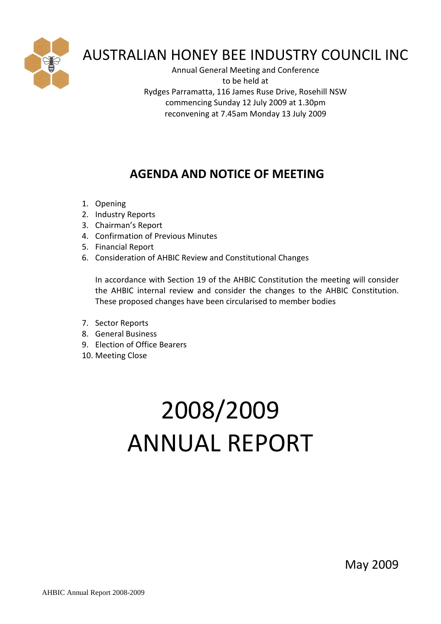

# AUSTRALIAN HONEY BEE INDUSTRY COUNCIL INC

Annual General Meeting and Conference to be held at Rydges Parramatta, 116 James Ruse Drive, Rosehill NSW commencing Sunday 12 July 2009 at 1.30pm reconvening at 7.45am Monday 13 July 2009

# **AGENDA AND NOTICE OF MEETING**

- 1. Opening
- 2. Industry Reports
- 3. Chairman's Report
- 4. Confirmation of Previous Minutes
- 5. Financial Report
- 6. Consideration of AHBIC Review and Constitutional Changes

In accordance with Section 19 of the AHBIC Constitution the meeting will consider the AHBIC internal review and consider the changes to the AHBIC Constitution. These proposed changes have been circularised to member bodies

- 7. Sector Reports
- 8. General Business
- 9. Election of Office Bearers
- 10. Meeting Close

# 2008/2009 ANNUAL REPORT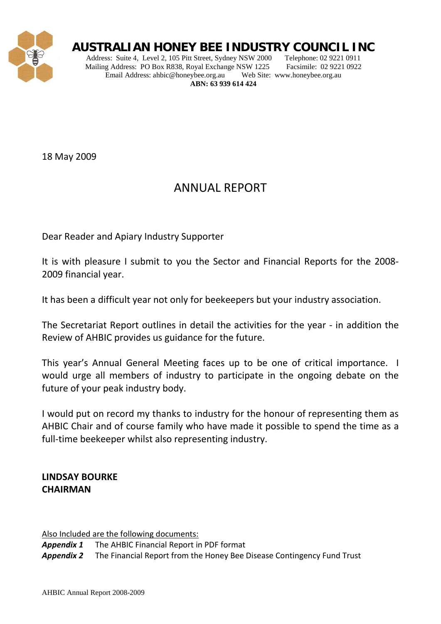

# **AUSTRALIAN HONEY BEE INDUSTRY COUNCIL INC**

Address: Suite 4, Level 2, 105 Pitt Street, Sydney NSW 2000 Telephone: 02 9221 0911 Mailing Address: PO Box R838, Royal Exchange NSW 1225 Facsimile: 02 9221 0922 Email Address: ahbic@honeybee.org.au Web Site: www.honeybee.org.au **ABN: 63 939 614 424**

18 May 2009

# ANNUAL REPORT

Dear Reader and Apiary Industry Supporter

It is with pleasure I submit to you the Sector and Financial Reports for the 2008- 2009 financial year.

It has been a difficult year not only for beekeepers but your industry association.

The Secretariat Report outlines in detail the activities for the year - in addition the Review of AHBIC provides us guidance for the future.

This year's Annual General Meeting faces up to be one of critical importance. I would urge all members of industry to participate in the ongoing debate on the future of your peak industry body.

I would put on record my thanks to industry for the honour of representing them as AHBIC Chair and of course family who have made it possible to spend the time as a full-time beekeeper whilst also representing industry.

# **LINDSAY BOURKE CHAIRMAN**

Also Included are the following documents:

*Appendix 1* The AHBIC Financial Report in PDF format

*Appendix 2* The Financial Report from the Honey Bee Disease Contingency Fund Trust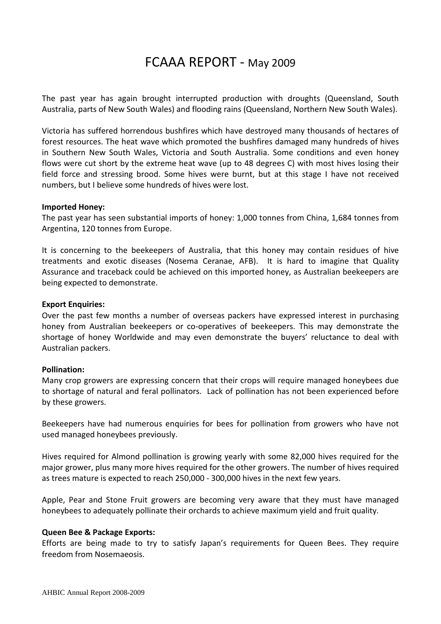# FCAAA REPORT - May 2009

The past year has again brought interrupted production with droughts (Queensland, South Australia, parts of New South Wales) and flooding rains (Queensland, Northern New South Wales).

Victoria has suffered horrendous bushfires which have destroyed many thousands of hectares of forest resources. The heat wave which promoted the bushfires damaged many hundreds of hives in Southern New South Wales, Victoria and South Australia. Some conditions and even honey flows were cut short by the extreme heat wave (up to 48 degrees C) with most hives losing their field force and stressing brood. Some hives were burnt, but at this stage I have not received numbers, but I believe some hundreds of hives were lost.

#### **Imported Honey:**

The past year has seen substantial imports of honey: 1,000 tonnes from China, 1,684 tonnes from Argentina, 120 tonnes from Europe.

It is concerning to the beekeepers of Australia, that this honey may contain residues of hive treatments and exotic diseases (Nosema Ceranae, AFB). It is hard to imagine that Quality Assurance and traceback could be achieved on this imported honey, as Australian beekeepers are being expected to demonstrate.

### **Export Enquiries:**

Over the past few months a number of overseas packers have expressed interest in purchasing honey from Australian beekeepers or co-operatives of beekeepers. This may demonstrate the shortage of honey Worldwide and may even demonstrate the buyers' reluctance to deal with Australian packers.

# **Pollination:**

Many crop growers are expressing concern that their crops will require managed honeybees due to shortage of natural and feral pollinators. Lack of pollination has not been experienced before by these growers.

Beekeepers have had numerous enquiries for bees for pollination from growers who have not used managed honeybees previously.

Hives required for Almond pollination is growing yearly with some 82,000 hives required for the major grower, plus many more hives required for the other growers. The number of hives required as trees mature is expected to reach 250,000 - 300,000 hives in the next few years.

Apple, Pear and Stone Fruit growers are becoming very aware that they must have managed honeybees to adequately pollinate their orchards to achieve maximum yield and fruit quality.

#### **Queen Bee & Package Exports:**

Efforts are being made to try to satisfy Japan's requirements for Queen Bees. They require freedom from Nosemaeosis.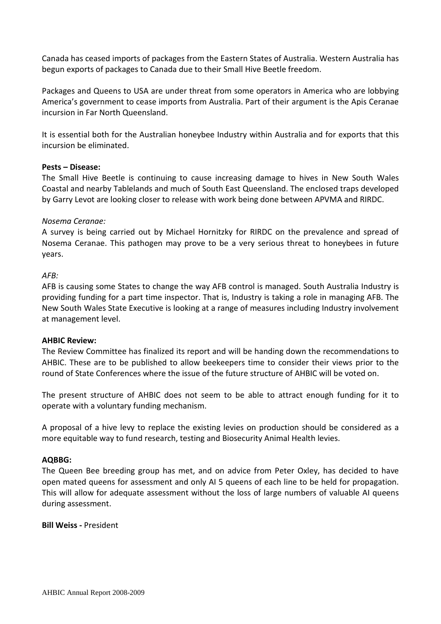Canada has ceased imports of packages from the Eastern States of Australia. Western Australia has begun exports of packages to Canada due to their Small Hive Beetle freedom.

Packages and Queens to USA are under threat from some operators in America who are lobbying America's government to cease imports from Australia. Part of their argument is the Apis Ceranae incursion in Far North Queensland.

It is essential both for the Australian honeybee Industry within Australia and for exports that this incursion be eliminated.

# **Pests – Disease:**

The Small Hive Beetle is continuing to cause increasing damage to hives in New South Wales Coastal and nearby Tablelands and much of South East Queensland. The enclosed traps developed by Garry Levot are looking closer to release with work being done between APVMA and RIRDC.

# *Nosema Ceranae:*

A survey is being carried out by Michael Hornitzky for RIRDC on the prevalence and spread of Nosema Ceranae. This pathogen may prove to be a very serious threat to honeybees in future years.

# *AFB:*

AFB is causing some States to change the way AFB control is managed. South Australia Industry is providing funding for a part time inspector. That is, Industry is taking a role in managing AFB. The New South Wales State Executive is looking at a range of measures including Industry involvement at management level.

# **AHBIC Review:**

The Review Committee has finalized its report and will be handing down the recommendations to AHBIC. These are to be published to allow beekeepers time to consider their views prior to the round of State Conferences where the issue of the future structure of AHBIC will be voted on.

The present structure of AHBIC does not seem to be able to attract enough funding for it to operate with a voluntary funding mechanism.

A proposal of a hive levy to replace the existing levies on production should be considered as a more equitable way to fund research, testing and Biosecurity Animal Health levies.

# **AQBBG:**

The Queen Bee breeding group has met, and on advice from Peter Oxley, has decided to have open mated queens for assessment and only AI 5 queens of each line to be held for propagation. This will allow for adequate assessment without the loss of large numbers of valuable AI queens during assessment.

# **Bill Weiss -** President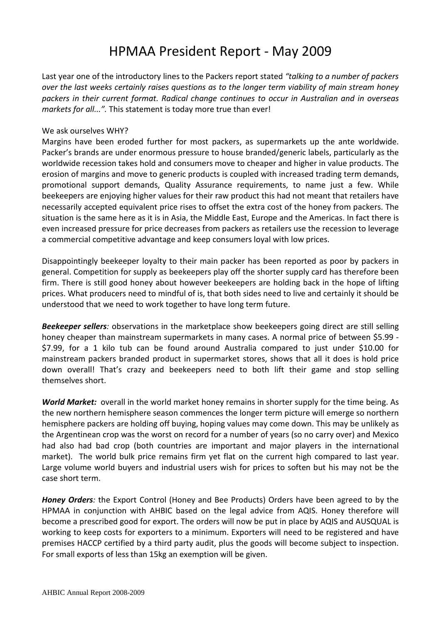# HPMAA President Report - May 2009

Last year one of the introductory lines to the Packers report stated *"talking to a number of packers over the last weeks certainly raises questions as to the longer term viability of main stream honey packers in their current format. Radical change continues to occur in Australian and in overseas markets for all...".* This statement is today more true than ever!

# We ask ourselves WHY?

Margins have been eroded further for most packers, as supermarkets up the ante worldwide. Packer's brands are under enormous pressure to house branded/generic labels, particularly as the worldwide recession takes hold and consumers move to cheaper and higher in value products. The erosion of margins and move to generic products is coupled with increased trading term demands, promotional support demands, Quality Assurance requirements, to name just a few. While beekeepers are enjoying higher values for their raw product this had not meant that retailers have necessarily accepted equivalent price rises to offset the extra cost of the honey from packers. The situation is the same here as it is in Asia, the Middle East, Europe and the Americas. In fact there is even increased pressure for price decreases from packers as retailers use the recession to leverage a commercial competitive advantage and keep consumers loyal with low prices.

Disappointingly beekeeper loyalty to their main packer has been reported as poor by packers in general. Competition for supply as beekeepers play off the shorter supply card has therefore been firm. There is still good honey about however beekeepers are holding back in the hope of lifting prices. What producers need to mindful of is, that both sides need to live and certainly it should be understood that we need to work together to have long term future.

*Beekeeper sellers:* observations in the marketplace show beekeepers going direct are still selling honey cheaper than mainstream supermarkets in many cases. A normal price of between \$5.99 - \$7.99, for a 1 kilo tub can be found around Australia compared to just under \$10.00 for mainstream packers branded product in supermarket stores, shows that all it does is hold price down overall! That's crazy and beekeepers need to both lift their game and stop selling themselves short.

*World Market:* overall in the world market honey remains in shorter supply for the time being. As the new northern hemisphere season commences the longer term picture will emerge so northern hemisphere packers are holding off buying, hoping values may come down. This may be unlikely as the Argentinean crop was the worst on record for a number of years (so no carry over) and Mexico had also had bad crop (both countries are important and major players in the international market). The world bulk price remains firm yet flat on the current high compared to last year. Large volume world buyers and industrial users wish for prices to soften but his may not be the case short term.

*Honey Orders:* the Export Control (Honey and Bee Products) Orders have been agreed to by the HPMAA in conjunction with AHBIC based on the legal advice from AQIS. Honey therefore will become a prescribed good for export. The orders will now be put in place by AQIS and AUSQUAL is working to keep costs for exporters to a minimum. Exporters will need to be registered and have premises HACCP certified by a third party audit, plus the goods will become subject to inspection. For small exports of less than 15kg an exemption will be given.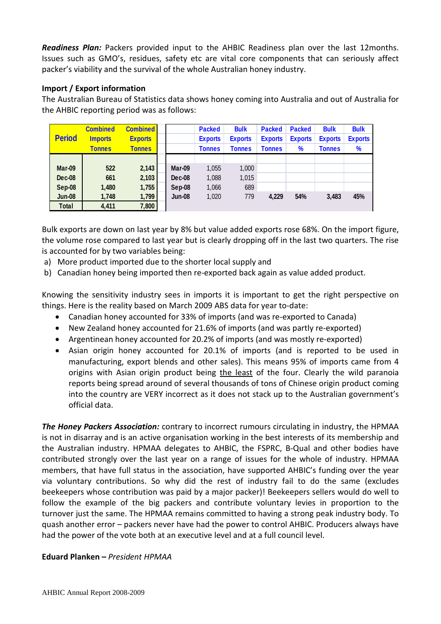*Readiness Plan:* Packers provided input to the AHBIC Readiness plan over the last 12months. Issues such as GMO's, residues, safety etc are vital core components that can seriously affect packer's viability and the survival of the whole Australian honey industry.

# **Import / Export information**

The Australian Bureau of Statistics data shows honey coming into Australia and out of Australia for the AHBIC reporting period was as follows:

| <b>Period</b> | <b>Combined</b><br><b>Imports</b><br><b>Tonnes</b> | <b>Combined</b><br><b>Exports</b><br><b>Tonnes</b> |               | <b>Packed</b><br><b>Exports</b><br><b>Tonnes</b> | <b>Bulk</b><br><b>Exports</b><br><b>Tonnes</b> | <b>Packed</b><br><b>Exports</b><br><b>Tonnes</b> | <b>Packed</b><br><b>Exports</b><br>$\%$ | <b>Bulk</b><br><b>Exports</b><br>Tonnes | <b>Bulk</b><br><b>Exports</b><br>$\frac{9}{6}$ |
|---------------|----------------------------------------------------|----------------------------------------------------|---------------|--------------------------------------------------|------------------------------------------------|--------------------------------------------------|-----------------------------------------|-----------------------------------------|------------------------------------------------|
|               |                                                    |                                                    |               |                                                  |                                                |                                                  |                                         |                                         |                                                |
| Mar-09        | 522                                                | 2,143                                              | Mar-09        | 1,055                                            | 1,000                                          |                                                  |                                         |                                         |                                                |
| Dec-08        | 661                                                | 2,103                                              | <b>Dec-08</b> | 1,088                                            | 1,015                                          |                                                  |                                         |                                         |                                                |
| Sep-08        | 1,480                                              | 1,755                                              | Sep-08        | 1,066                                            | 689                                            |                                                  |                                         |                                         |                                                |
| <b>Jun-08</b> | 1,748                                              | 1,799                                              | <b>Jun-08</b> | 1,020                                            | 779                                            | 4.229                                            | 54%                                     | 3,483                                   | 45%                                            |
| Total         | 4,411                                              | 7,800                                              |               |                                                  |                                                |                                                  |                                         |                                         |                                                |

Bulk exports are down on last year by 8% but value added exports rose 68%. On the import figure, the volume rose compared to last year but is clearly dropping off in the last two quarters. The rise is accounted for by two variables being:

- a) More product imported due to the shorter local supply and
- b) Canadian honey being imported then re-exported back again as value added product.

Knowing the sensitivity industry sees in imports it is important to get the right perspective on things. Here is the reality based on March 2009 ABS data for year to-date:

- Canadian honey accounted for 33% of imports (and was re-exported to Canada)
- New Zealand honey accounted for 21.6% of imports (and was partly re-exported)
- Argentinean honey accounted for 20.2% of imports (and was mostly re-exported)
- Asian origin honey accounted for 20.1% of imports (and is reported to be used in manufacturing, export blends and other sales). This means 95% of imports came from 4 origins with Asian origin product being the least of the four. Clearly the wild paranoia reports being spread around of several thousands of tons of Chinese origin product coming into the country are VERY incorrect as it does not stack up to the Australian government's official data.

*The Honey Packers Association:* contrary to incorrect rumours circulating in industry, the HPMAA is not in disarray and is an active organisation working in the best interests of its membership and the Australian industry. HPMAA delegates to AHBIC, the FSPRC, B-Qual and other bodies have contributed strongly over the last year on a range of issues for the whole of industry. HPMAA members, that have full status in the association, have supported AHBIC's funding over the year via voluntary contributions. So why did the rest of industry fail to do the same (excludes beekeepers whose contribution was paid by a major packer)! Beekeepers sellers would do well to follow the example of the big packers and contribute voluntary levies in proportion to the turnover just the same. The HPMAA remains committed to having a strong peak industry body. To quash another error – packers never have had the power to control AHBIC. Producers always have had the power of the vote both at an executive level and at a full council level.

# **Eduard Planken –** *President HPMAA*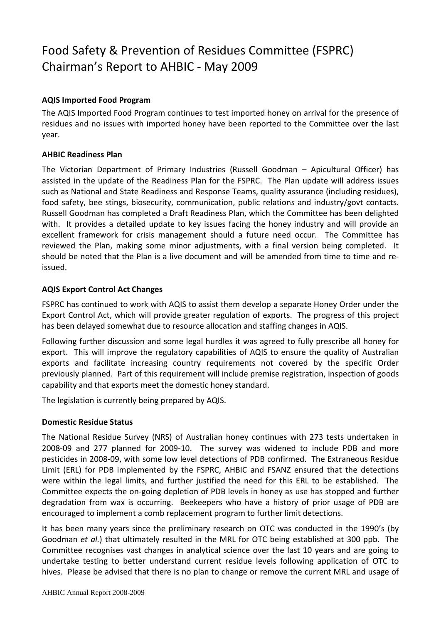# Food Safety & Prevention of Residues Committee (FSPRC) Chairman's Report to AHBIC - May 2009

# **AQIS Imported Food Program**

The AQIS Imported Food Program continues to test imported honey on arrival for the presence of residues and no issues with imported honey have been reported to the Committee over the last year.

# **AHBIC Readiness Plan**

The Victorian Department of Primary Industries (Russell Goodman – Apicultural Officer) has assisted in the update of the Readiness Plan for the FSPRC. The Plan update will address issues such as National and State Readiness and Response Teams, quality assurance (including residues), food safety, bee stings, biosecurity, communication, public relations and industry/govt contacts. Russell Goodman has completed a Draft Readiness Plan, which the Committee has been delighted with. It provides a detailed update to key issues facing the honey industry and will provide an excellent framework for crisis management should a future need occur. The Committee has reviewed the Plan, making some minor adjustments, with a final version being completed. It should be noted that the Plan is a live document and will be amended from time to time and reissued.

# **AQIS Export Control Act Changes**

FSPRC has continued to work with AQIS to assist them develop a separate Honey Order under the Export Control Act, which will provide greater regulation of exports. The progress of this project has been delayed somewhat due to resource allocation and staffing changes in AQIS.

Following further discussion and some legal hurdles it was agreed to fully prescribe all honey for export. This will improve the regulatory capabilities of AQIS to ensure the quality of Australian exports and facilitate increasing country requirements not covered by the specific Order previously planned. Part of this requirement will include premise registration, inspection of goods capability and that exports meet the domestic honey standard.

The legislation is currently being prepared by AQIS.

# **Domestic Residue Status**

The National Residue Survey (NRS) of Australian honey continues with 273 tests undertaken in 2008-09 and 277 planned for 2009-10. The survey was widened to include PDB and more pesticides in 2008-09, with some low level detections of PDB confirmed. The Extraneous Residue Limit (ERL) for PDB implemented by the FSPRC, AHBIC and FSANZ ensured that the detections were within the legal limits, and further justified the need for this ERL to be established. The Committee expects the on-going depletion of PDB levels in honey as use has stopped and further degradation from wax is occurring. Beekeepers who have a history of prior usage of PDB are encouraged to implement a comb replacement program to further limit detections.

It has been many years since the preliminary research on OTC was conducted in the 1990's (by Goodman *et al.*) that ultimately resulted in the MRL for OTC being established at 300 ppb. The Committee recognises vast changes in analytical science over the last 10 years and are going to undertake testing to better understand current residue levels following application of OTC to hives. Please be advised that there is no plan to change or remove the current MRL and usage of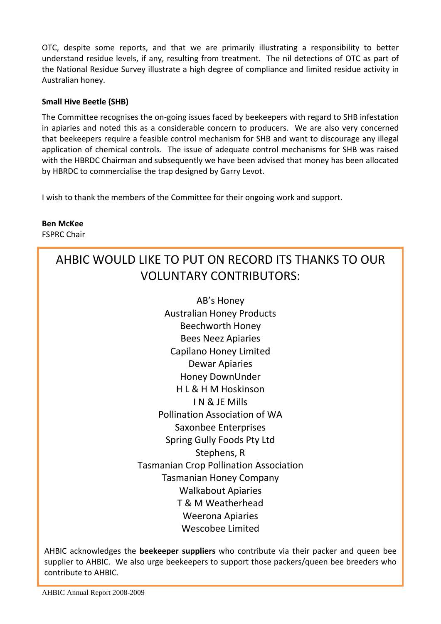OTC, despite some reports, and that we are primarily illustrating a responsibility to better understand residue levels, if any, resulting from treatment. The nil detections of OTC as part of the National Residue Survey illustrate a high degree of compliance and limited residue activity in Australian honey.

# **Small Hive Beetle (SHB)**

The Committee recognises the on-going issues faced by beekeepers with regard to SHB infestation in apiaries and noted this as a considerable concern to producers. We are also very concerned that beekeepers require a feasible control mechanism for SHB and want to discourage any illegal application of chemical controls. The issue of adequate control mechanisms for SHB was raised with the HBRDC Chairman and subsequently we have been advised that money has been allocated by HBRDC to commercialise the trap designed by Garry Levot.

I wish to thank the members of the Committee for their ongoing work and support.

**Ben McKee** FSPRC Chair

# AHBIC WOULD LIKE TO PUT ON RECORD ITS THANKS TO OUR VOLUNTARY CONTRIBUTORS:

AB's Honey Australian Honey Products Beechworth Honey Bees Neez Apiaries Capilano Honey Limited Dewar Apiaries Honey DownUnder H L & H M Hoskinson I N & JE Mills Pollination Association of WA Saxonbee Enterprises Spring Gully Foods Pty Ltd Stephens, R Tasmanian Crop Pollination Association Tasmanian Honey Company Walkabout Apiaries T & M Weatherhead Weerona Apiaries Wescobee Limited

AHBIC acknowledges the **beekeeper suppliers** who contribute via their packer and queen bee supplier to AHBIC. We also urge beekeepers to support those packers/queen bee breeders who contribute to AHBIC.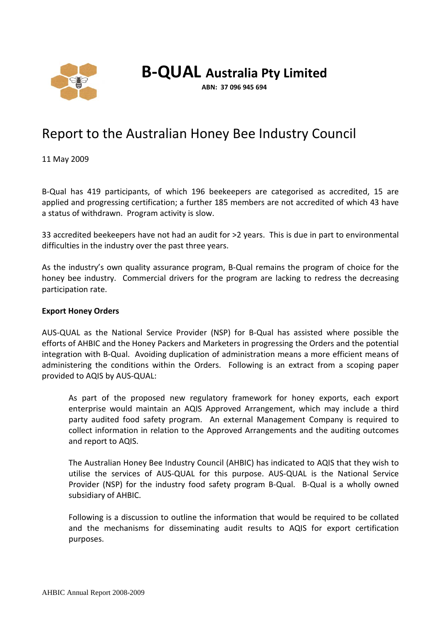

# **B-QUAL Australia Pty Limited**

**ABN: 37 096 945 694**

# Report to the Australian Honey Bee Industry Council

11 May 2009

B-Qual has 419 participants, of which 196 beekeepers are categorised as accredited, 15 are applied and progressing certification; a further 185 members are not accredited of which 43 have a status of withdrawn. Program activity is slow.

33 accredited beekeepers have not had an audit for >2 years. This is due in part to environmental difficulties in the industry over the past three years.

As the industry's own quality assurance program, B-Qual remains the program of choice for the honey bee industry. Commercial drivers for the program are lacking to redress the decreasing participation rate.

# **Export Honey Orders**

AUS-QUAL as the National Service Provider (NSP) for B-Qual has assisted where possible the efforts of AHBIC and the Honey Packers and Marketers in progressing the Orders and the potential integration with B-Qual. Avoiding duplication of administration means a more efficient means of administering the conditions within the Orders. Following is an extract from a scoping paper provided to AQIS by AUS-QUAL:

As part of the proposed new regulatory framework for honey exports, each export enterprise would maintain an AQIS Approved Arrangement, which may include a third party audited food safety program. An external Management Company is required to collect information in relation to the Approved Arrangements and the auditing outcomes and report to AQIS.

The Australian Honey Bee Industry Council (AHBIC) has indicated to AQIS that they wish to utilise the services of AUS-QUAL for this purpose. AUS-QUAL is the National Service Provider (NSP) for the industry food safety program B-Qual. B-Qual is a wholly owned subsidiary of AHBIC.

Following is a discussion to outline the information that would be required to be collated and the mechanisms for disseminating audit results to AQIS for export certification purposes.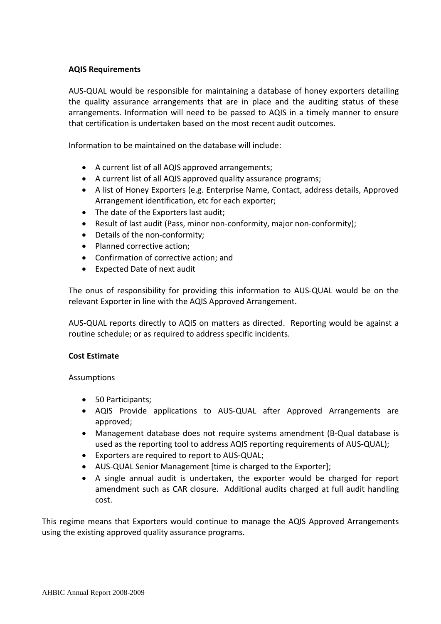# **AQIS Requirements**

AUS-QUAL would be responsible for maintaining a database of honey exporters detailing the quality assurance arrangements that are in place and the auditing status of these arrangements. Information will need to be passed to AQIS in a timely manner to ensure that certification is undertaken based on the most recent audit outcomes.

Information to be maintained on the database will include:

- A current list of all AQIS approved arrangements;
- A current list of all AQIS approved quality assurance programs;
- A list of Honey Exporters (e.g. Enterprise Name, Contact, address details, Approved Arrangement identification, etc for each exporter;
- The date of the Exporters last audit;
- Result of last audit (Pass, minor non-conformity, major non-conformity);
- Details of the non-conformity;
- Planned corrective action;
- Confirmation of corrective action; and
- Expected Date of next audit

The onus of responsibility for providing this information to AUS-QUAL would be on the relevant Exporter in line with the AQIS Approved Arrangement.

AUS-QUAL reports directly to AQIS on matters as directed. Reporting would be against a routine schedule; or as required to address specific incidents.

# **Cost Estimate**

Assumptions

- 50 Participants;
- AQIS Provide applications to AUS-QUAL after Approved Arrangements are approved;
- Management database does not require systems amendment (B-Qual database is used as the reporting tool to address AQIS reporting requirements of AUS-QUAL);
- Exporters are required to report to AUS-QUAL;
- AUS-QUAL Senior Management [time is charged to the Exporter];
- A single annual audit is undertaken, the exporter would be charged for report amendment such as CAR closure. Additional audits charged at full audit handling cost.

This regime means that Exporters would continue to manage the AQIS Approved Arrangements using the existing approved quality assurance programs.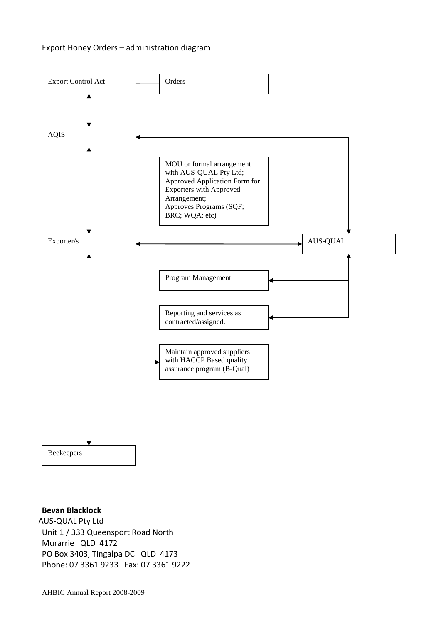# Export Honey Orders – administration diagram



#### **Bevan Blacklock**

 AUS-QUAL Pty Ltd Unit 1 / 333 Queensport Road North Murarrie QLD 4172 PO Box 3403, Tingalpa DC QLD 4173 Phone: 07 3361 9233 Fax: 07 3361 9222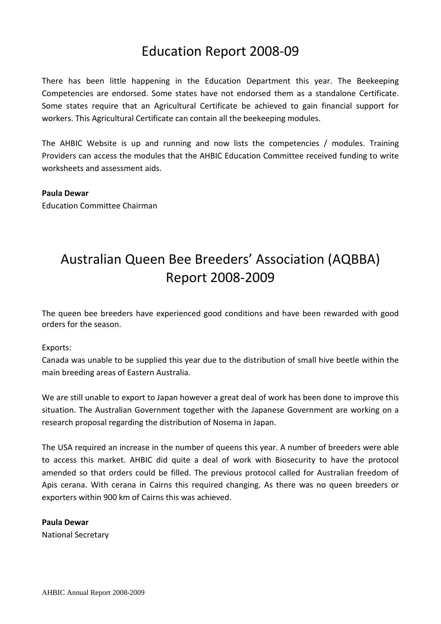# Education Report 2008-09

There has been little happening in the Education Department this year. The Beekeeping Competencies are endorsed. Some states have not endorsed them as a standalone Certificate. Some states require that an Agricultural Certificate be achieved to gain financial support for workers. This Agricultural Certificate can contain all the beekeeping modules.

The AHBIC Website is up and running and now lists the competencies / modules. Training Providers can access the modules that the AHBIC Education Committee received funding to write worksheets and assessment aids.

# **Paula Dewar**

Education Committee Chairman

# Australian Queen Bee Breeders' Association (AQBBA) Report 2008-2009

The queen bee breeders have experienced good conditions and have been rewarded with good orders for the season.

# Exports:

Canada was unable to be supplied this year due to the distribution of small hive beetle within the main breeding areas of Eastern Australia.

We are still unable to export to Japan however a great deal of work has been done to improve this situation. The Australian Government together with the Japanese Government are working on a research proposal regarding the distribution of Nosema in Japan.

The USA required an increase in the number of queens this year. A number of breeders were able to access this market. AHBIC did quite a deal of work with Biosecurity to have the protocol amended so that orders could be filled. The previous protocol called for Australian freedom of Apis cerana. With cerana in Cairns this required changing. As there was no queen breeders or exporters within 900 km of Cairns this was achieved.

# **Paula Dewar**

National Secretary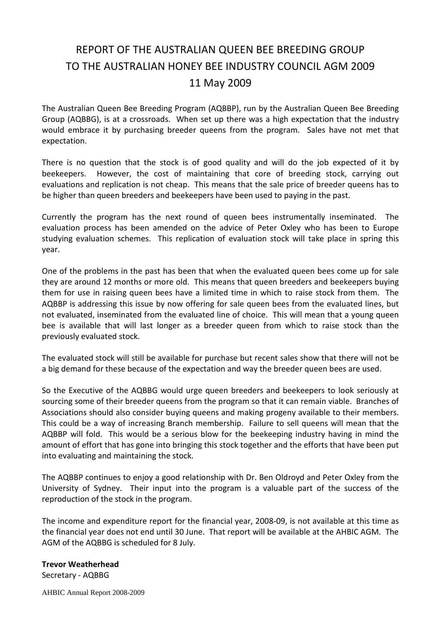# REPORT OF THE AUSTRALIAN QUEEN BEE BREEDING GROUP TO THE AUSTRALIAN HONEY BEE INDUSTRY COUNCIL AGM 2009 11 May 2009

The Australian Queen Bee Breeding Program (AQBBP), run by the Australian Queen Bee Breeding Group (AQBBG), is at a crossroads. When set up there was a high expectation that the industry would embrace it by purchasing breeder queens from the program. Sales have not met that expectation.

There is no question that the stock is of good quality and will do the job expected of it by beekeepers. However, the cost of maintaining that core of breeding stock, carrying out evaluations and replication is not cheap. This means that the sale price of breeder queens has to be higher than queen breeders and beekeepers have been used to paying in the past.

Currently the program has the next round of queen bees instrumentally inseminated. The evaluation process has been amended on the advice of Peter Oxley who has been to Europe studying evaluation schemes. This replication of evaluation stock will take place in spring this year.

One of the problems in the past has been that when the evaluated queen bees come up for sale they are around 12 months or more old. This means that queen breeders and beekeepers buying them for use in raising queen bees have a limited time in which to raise stock from them. The AQBBP is addressing this issue by now offering for sale queen bees from the evaluated lines, but not evaluated, inseminated from the evaluated line of choice. This will mean that a young queen bee is available that will last longer as a breeder queen from which to raise stock than the previously evaluated stock.

The evaluated stock will still be available for purchase but recent sales show that there will not be a big demand for these because of the expectation and way the breeder queen bees are used.

So the Executive of the AQBBG would urge queen breeders and beekeepers to look seriously at sourcing some of their breeder queens from the program so that it can remain viable. Branches of Associations should also consider buying queens and making progeny available to their members. This could be a way of increasing Branch membership. Failure to sell queens will mean that the AQBBP will fold. This would be a serious blow for the beekeeping industry having in mind the amount of effort that has gone into bringing this stock together and the efforts that have been put into evaluating and maintaining the stock.

The AQBBP continues to enjoy a good relationship with Dr. Ben Oldroyd and Peter Oxley from the University of Sydney. Their input into the program is a valuable part of the success of the reproduction of the stock in the program.

The income and expenditure report for the financial year, 2008-09, is not available at this time as the financial year does not end until 30 June. That report will be available at the AHBIC AGM. The AGM of the AQBBG is scheduled for 8 July.

# **Trevor Weatherhead**

Secretary - AQBBG

AHBIC Annual Report 2008-2009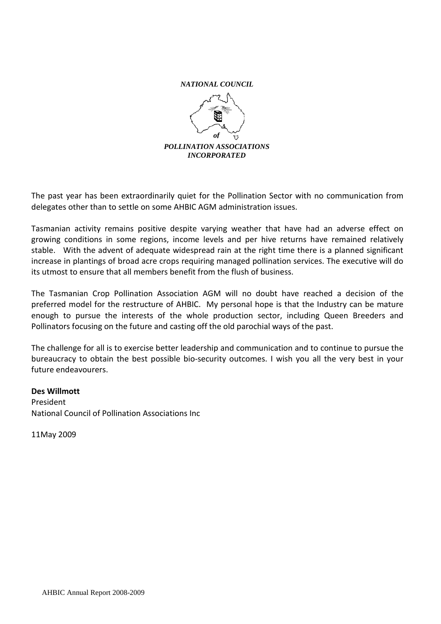

The past year has been extraordinarily quiet for the Pollination Sector with no communication from delegates other than to settle on some AHBIC AGM administration issues.

Tasmanian activity remains positive despite varying weather that have had an adverse effect on growing conditions in some regions, income levels and per hive returns have remained relatively stable. With the advent of adequate widespread rain at the right time there is a planned significant increase in plantings of broad acre crops requiring managed pollination services. The executive will do its utmost to ensure that all members benefit from the flush of business.

The Tasmanian Crop Pollination Association AGM will no doubt have reached a decision of the preferred model for the restructure of AHBIC. My personal hope is that the Industry can be mature enough to pursue the interests of the whole production sector, including Queen Breeders and Pollinators focusing on the future and casting off the old parochial ways of the past.

The challenge for all is to exercise better leadership and communication and to continue to pursue the bureaucracy to obtain the best possible bio-security outcomes. I wish you all the very best in your future endeavourers.

#### **Des Willmott**

President National Council of Pollination Associations Inc

11May 2009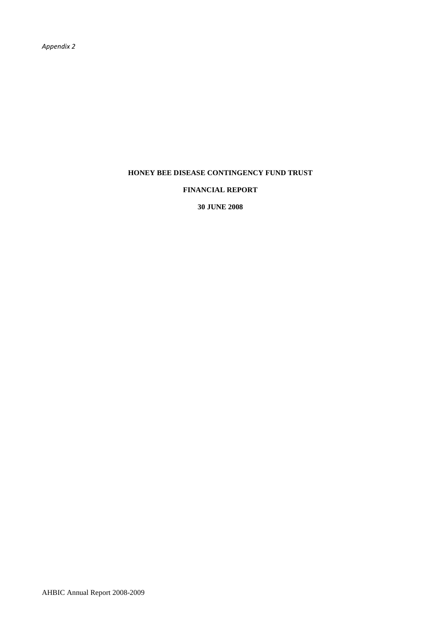#### **FINANCIAL REPORT**

**30 JUNE 2008**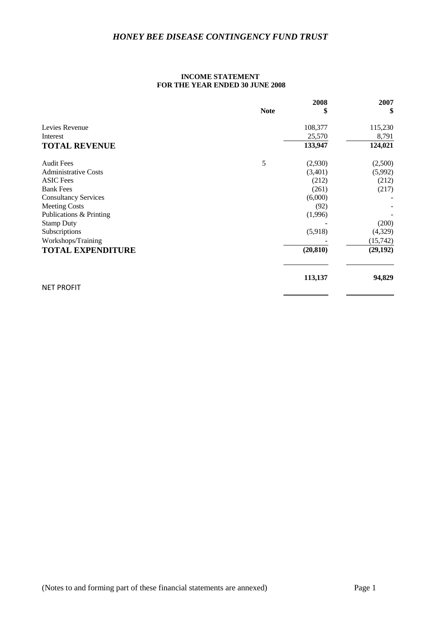#### **INCOME STATEMENT FOR THE YEAR ENDED 30 JUNE 2008**

|                             |             | 2008      | 2007      |
|-----------------------------|-------------|-----------|-----------|
|                             | <b>Note</b> | \$        | \$        |
| Levies Revenue              |             | 108,377   | 115,230   |
| Interest                    |             | 25,570    | 8,791     |
| <b>TOTAL REVENUE</b>        |             | 133,947   | 124,021   |
| <b>Audit Fees</b>           | 5           | (2,930)   | (2,500)   |
| <b>Administrative Costs</b> |             | (3,401)   | (5,992)   |
| <b>ASIC</b> Fees            |             | (212)     | (212)     |
| <b>Bank Fees</b>            |             | (261)     | (217)     |
| <b>Consultancy Services</b> |             | (6,000)   |           |
| <b>Meeting Costs</b>        |             | (92)      |           |
| Publications & Printing     |             | (1,996)   |           |
| <b>Stamp Duty</b>           |             |           | (200)     |
| Subscriptions               |             | (5,918)   | (4,329)   |
| Workshops/Training          |             |           | (15, 742) |
| <b>TOTAL EXPENDITURE</b>    |             | (20, 810) | (29, 192) |
|                             |             | 113,137   | 94,829    |
| <b>NET PROFIT</b>           |             |           |           |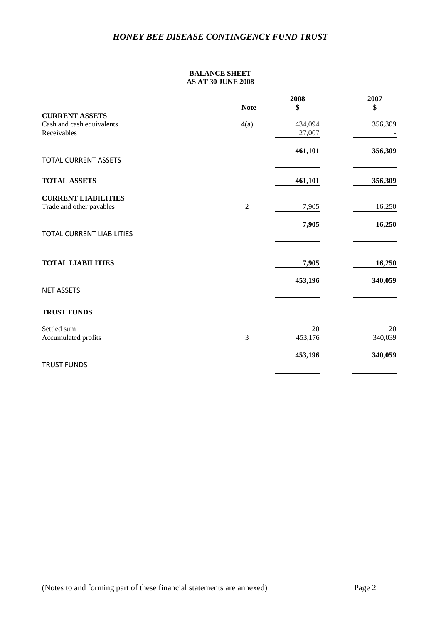#### **BALANCE SHEET AS AT 30 JUNE 2008**

|                                                                   |                | 2008              | 2007          |
|-------------------------------------------------------------------|----------------|-------------------|---------------|
|                                                                   | <b>Note</b>    | \$                | \$            |
| <b>CURRENT ASSETS</b><br>Cash and cash equivalents<br>Receivables | 4(a)           | 434,094<br>27,007 | 356,309       |
| <b>TOTAL CURRENT ASSETS</b>                                       |                | 461,101           | 356,309       |
| <b>TOTAL ASSETS</b>                                               |                | 461,101           | 356,309       |
| <b>CURRENT LIABILITIES</b><br>Trade and other payables            | $\overline{c}$ | 7,905             | 16,250        |
| <b>TOTAL CURRENT LIABILITIES</b>                                  |                | 7,905             | 16,250        |
| <b>TOTAL LIABILITIES</b>                                          |                | 7,905             | 16,250        |
| <b>NET ASSETS</b>                                                 |                | 453,196           | 340,059       |
| <b>TRUST FUNDS</b>                                                |                |                   |               |
| Settled sum<br>Accumulated profits                                | 3              | 20<br>453,176     | 20<br>340,039 |
| <b>TRUST FUNDS</b>                                                |                | 453,196           | 340,059       |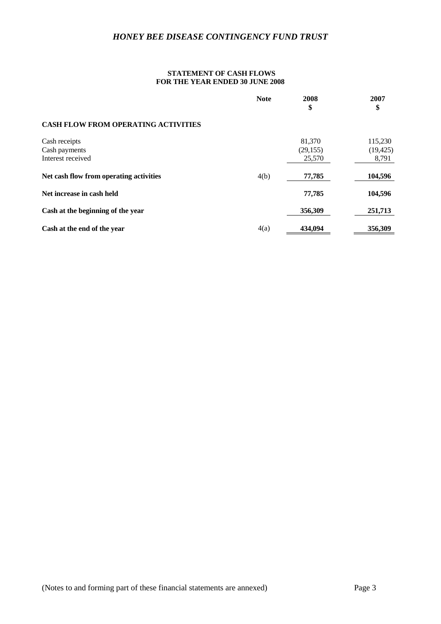#### **STATEMENT OF CASH FLOWS FOR THE YEAR ENDED 30 JUNE 2008**

|                                            | <b>Note</b> | 2008<br>\$ | 2007<br>\$ |
|--------------------------------------------|-------------|------------|------------|
| <b>CASH FLOW FROM OPERATING ACTIVITIES</b> |             |            |            |
| Cash receipts                              |             | 81,370     | 115,230    |
| Cash payments                              |             | (29, 155)  | (19, 425)  |
| Interest received                          |             | 25,570     | 8,791      |
| Net cash flow from operating activities    | 4(b)        | 77,785     | 104,596    |
| Net increase in cash held                  |             | 77,785     | 104,596    |
| Cash at the beginning of the year          |             | 356,309    | 251,713    |
| Cash at the end of the year                | 4(a)        | 434,094    | 356,309    |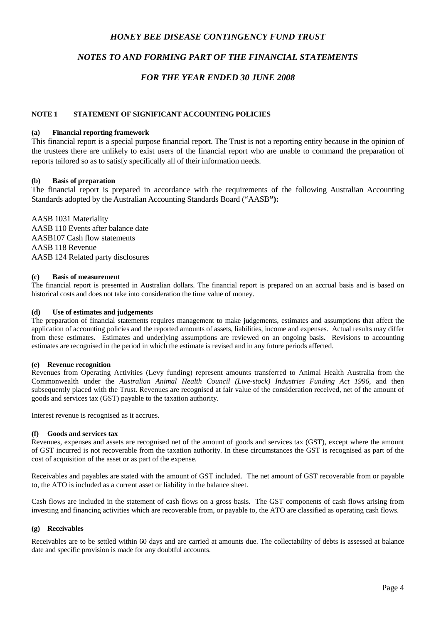# *NOTES TO AND FORMING PART OF THE FINANCIAL STATEMENTS*

### *FOR THE YEAR ENDED 30 JUNE 2008*

#### **NOTE 1 STATEMENT OF SIGNIFICANT ACCOUNTING POLICIES**

#### **(a) Financial reporting framework**

This financial report is a special purpose financial report. The Trust is not a reporting entity because in the opinion of the trustees there are unlikely to exist users of the financial report who are unable to command the preparation of reports tailored so as to satisfy specifically all of their information needs.

#### **(b) Basis of preparation**

The financial report is prepared in accordance with the requirements of the following Australian Accounting Standards adopted by the Australian Accounting Standards Board ("AASB**"):**

AASB 1031 Materiality AASB 110 Events after balance date AASB107 Cash flow statements AASB 118 Revenue AASB 124 Related party disclosures

#### **(c) Basis of measurement**

The financial report is presented in Australian dollars. The financial report is prepared on an accrual basis and is based on historical costs and does not take into consideration the time value of money.

#### **(d) Use of estimates and judgements**

The preparation of financial statements requires management to make judgements, estimates and assumptions that affect the application of accounting policies and the reported amounts of assets, liabilities, income and expenses. Actual results may differ from these estimates. Estimates and underlying assumptions are reviewed on an ongoing basis. Revisions to accounting estimates are recognised in the period in which the estimate is revised and in any future periods affected.

#### **(e) Revenue recognition**

Revenues from Operating Activities (Levy funding) represent amounts transferred to Animal Health Australia from the Commonwealth under the *Australian Animal Health Council (Live-stock) Industries Funding Act 1996,* and then subsequently placed with the Trust. Revenues are recognised at fair value of the consideration received, net of the amount of goods and services tax (GST) payable to the taxation authority.

Interest revenue is recognised as it accrues.

#### **(f) Goods and services tax**

Revenues, expenses and assets are recognised net of the amount of goods and services tax (GST), except where the amount of GST incurred is not recoverable from the taxation authority. In these circumstances the GST is recognised as part of the cost of acquisition of the asset or as part of the expense.

Receivables and payables are stated with the amount of GST included. The net amount of GST recoverable from or payable to, the ATO is included as a current asset or liability in the balance sheet.

Cash flows are included in the statement of cash flows on a gross basis. The GST components of cash flows arising from investing and financing activities which are recoverable from, or payable to, the ATO are classified as operating cash flows.

#### **(g) Receivables**

Receivables are to be settled within 60 days and are carried at amounts due. The collectability of debts is assessed at balance date and specific provision is made for any doubtful accounts.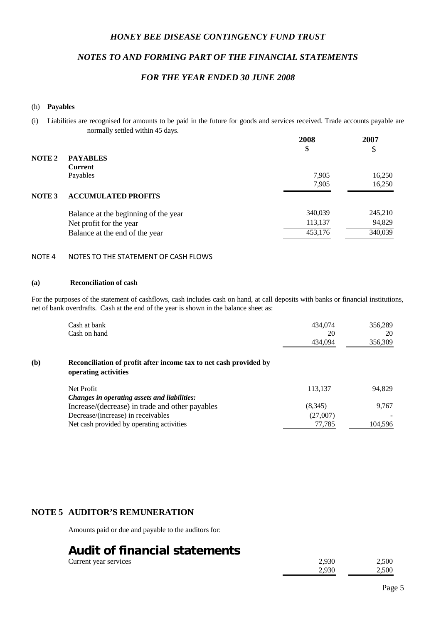# *NOTES TO AND FORMING PART OF THE FINANCIAL STATEMENTS*

### *FOR THE YEAR ENDED 30 JUNE 2008*

#### (h) **Payables**

(i) Liabilities are recognised for amounts to be paid in the future for goods and services received. Trade accounts payable are normally settled within 45 days.

|               |                                      | 2008<br>\$ | 2007<br>\$ |
|---------------|--------------------------------------|------------|------------|
| NOTE 2        | <b>PAYABLES</b><br><b>Current</b>    |            |            |
|               | Payables                             | 7,905      | 16,250     |
|               |                                      | 7,905      | 16,250     |
| <b>NOTE 3</b> | <b>ACCUMULATED PROFITS</b>           |            |            |
|               | Balance at the beginning of the year | 340,039    | 245,210    |
|               | Net profit for the year              | 113,137    | 94,829     |
|               | Balance at the end of the year       | 453,176    | 340,039    |

### NOTE 4 NOTES TO THE STATEMENT OF CASH FLOWS

#### **(a) Reconciliation of cash**

For the purposes of the statement of cashflows, cash includes cash on hand, at call deposits with banks or financial institutions, net of bank overdrafts. Cash at the end of the year is shown in the balance sheet as:

|     | Cash at bank<br>Cash on hand                                                              | 434,074<br>20<br>434,094 | 356,289<br>20<br>356,309 |
|-----|-------------------------------------------------------------------------------------------|--------------------------|--------------------------|
| (b) | Reconciliation of profit after income tax to net cash provided by<br>operating activities |                          |                          |
|     | Net Profit                                                                                | 113,137                  | 94,829                   |
|     | Changes in operating assets and liabilities:                                              |                          |                          |
|     | Increase/(decrease) in trade and other payables                                           | (8,345)                  | 9,767                    |
|     | Decrease/(increase) in receivables                                                        | (27,007)                 |                          |
|     | Net cash provided by operating activities                                                 | 77,785                   | 104,596                  |

# **NOTE 5 AUDITOR'S REMUNERATION**

Amounts paid or due and payable to the auditors for:

# **Audit of financial statements**

Current year services

| 2.930 | つ 500 |
|-------|-------|
| 2.930 | つ 500 |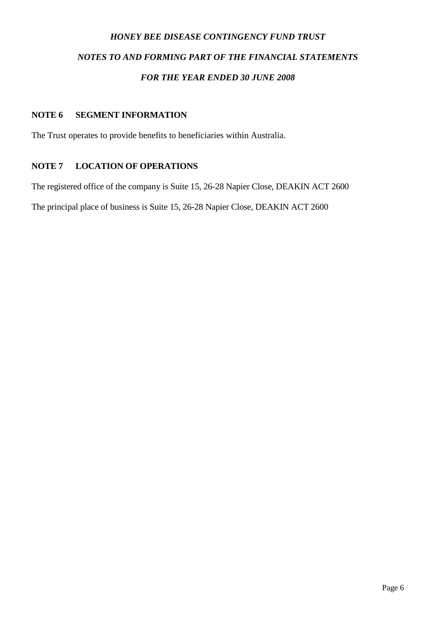# *HONEY BEE DISEASE CONTINGENCY FUND TRUST NOTES TO AND FORMING PART OF THE FINANCIAL STATEMENTS FOR THE YEAR ENDED 30 JUNE 2008*

# **NOTE 6 SEGMENT INFORMATION**

The Trust operates to provide benefits to beneficiaries within Australia.

# **NOTE 7 LOCATION OF OPERATIONS**

The registered office of the company is Suite 15, 26-28 Napier Close, DEAKIN ACT 2600

The principal place of business is Suite 15, 26-28 Napier Close, DEAKIN ACT 2600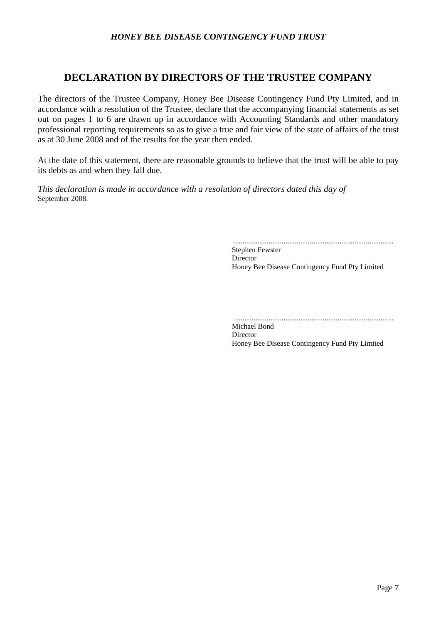# **DECLARATION BY DIRECTORS OF THE TRUSTEE COMPANY**

The directors of the Trustee Company, Honey Bee Disease Contingency Fund Pty Limited, and in accordance with a resolution of the Trustee, declare that the accompanying financial statements as set out on pages 1 to 6 are drawn up in accordance with Accounting Standards and other mandatory professional reporting requirements so as to give a true and fair view of the state of affairs of the trust as at 30 June 2008 and of the results for the year then ended.

At the date of this statement, there are reasonable grounds to believe that the trust will be able to pay its debts as and when they fall due.

*This declaration is made in accordance with a resolution of directors dated this day of*  September 2008.

......................................................................................

Stephen Fewster Director Honey Bee Disease Contingency Fund Pty Limited

...................................................................................... Michael Bond

Director Honey Bee Disease Contingency Fund Pty Limited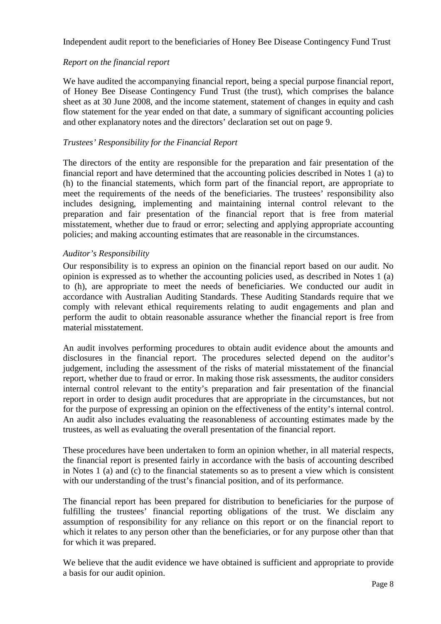Independent audit report to the beneficiaries of Honey Bee Disease Contingency Fund Trust

# *Report on the financial report*

We have audited the accompanying financial report, being a special purpose financial report, of Honey Bee Disease Contingency Fund Trust (the trust), which comprises the balance sheet as at 30 June 2008, and the income statement, statement of changes in equity and cash flow statement for the year ended on that date, a summary of significant accounting policies and other explanatory notes and the directors' declaration set out on page 9.

# *Trustees' Responsibility for the Financial Report*

The directors of the entity are responsible for the preparation and fair presentation of the financial report and have determined that the accounting policies described in Notes 1 (a) to (h) to the financial statements, which form part of the financial report, are appropriate to meet the requirements of the needs of the beneficiaries. The trustees' responsibility also includes designing, implementing and maintaining internal control relevant to the preparation and fair presentation of the financial report that is free from material misstatement, whether due to fraud or error; selecting and applying appropriate accounting policies; and making accounting estimates that are reasonable in the circumstances.

# *Auditor's Responsibility*

Our responsibility is to express an opinion on the financial report based on our audit. No opinion is expressed as to whether the accounting policies used, as described in Notes 1 (a) to (h), are appropriate to meet the needs of beneficiaries. We conducted our audit in accordance with Australian Auditing Standards. These Auditing Standards require that we comply with relevant ethical requirements relating to audit engagements and plan and perform the audit to obtain reasonable assurance whether the financial report is free from material misstatement.

An audit involves performing procedures to obtain audit evidence about the amounts and disclosures in the financial report. The procedures selected depend on the auditor's judgement, including the assessment of the risks of material misstatement of the financial report, whether due to fraud or error. In making those risk assessments, the auditor considers internal control relevant to the entity's preparation and fair presentation of the financial report in order to design audit procedures that are appropriate in the circumstances, but not for the purpose of expressing an opinion on the effectiveness of the entity's internal control. An audit also includes evaluating the reasonableness of accounting estimates made by the trustees, as well as evaluating the overall presentation of the financial report.

These procedures have been undertaken to form an opinion whether, in all material respects, the financial report is presented fairly in accordance with the basis of accounting described in Notes 1 (a) and (c) to the financial statements so as to present a view which is consistent with our understanding of the trust's financial position, and of its performance.

The financial report has been prepared for distribution to beneficiaries for the purpose of fulfilling the trustees' financial reporting obligations of the trust. We disclaim any assumption of responsibility for any reliance on this report or on the financial report to which it relates to any person other than the beneficiaries, or for any purpose other than that for which it was prepared.

We believe that the audit evidence we have obtained is sufficient and appropriate to provide a basis for our audit opinion.